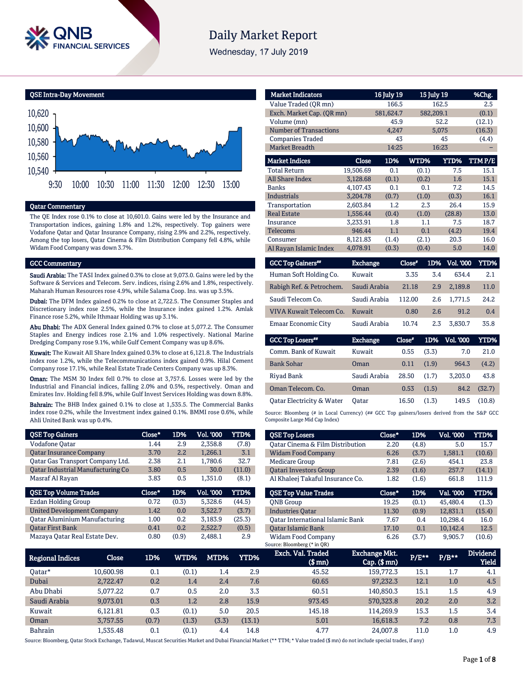

# **Daily Market Report**

Wednesday, 17 July 2019

#### QSE Intra-Day Movement



## Qatar Commentary

The QE Index rose 0.1% to close at 10,601.0. Gains were led by the Insurance and Transportation indices, gaining 1.8% and 1.2%, respectively. Top gainers were Vodafone Qatar and Qatar Insurance Company, rising 2.9% and 2.2%, respectively. Among the top losers, Qatar Cinema & Film Distribution Company fell 4.8%, while Widam Food Company was down 3.7%.

### GCC Commentary

Saudi Arabia: The TASI Index gained 0.3% to close at 9,073.0. Gains were led by the Software & Services and Telecom. Serv. indices, rising 2.6% and 1.8%, respectively. Maharah Human Resources rose 4.9%, while Salama Coop. Ins. was up 3.5%.

Dubai: The DFM Index gained 0.2% to close at 2,722.5. The Consumer Staples and Discretionary index rose 2.5%, while the Insurance index gained 1.2%. Amlak Finance rose 5.2%, while Ithmaar Holding was up 3.1%.

Abu Dhabi: The ADX General Index gained 0.7% to close at 5,077.2. The Consumer Staples and Energy indices rose 2.1% and 1.0% respectively. National Marine Dredging Company rose 9.1%, while Gulf Cement Company was up 8.6%.

Kuwait: The Kuwait All Share Index gained 0.3% to close at 6,121.8. The Industrials index rose 1.2%, while the Telecommunications index gained 0.9%. Hilal Cement Company rose 17.1%, while Real Estate Trade Centers Company was up 8.3%.

Oman: The MSM 30 Index fell 0.7% to close at 3,757.6. Losses were led by the Industrial and Financial indices, falling 2.0% and 0.5%, respectively. Oman and Emirates Inv. Holding fell 8.9%, while Gulf Invest Services Holding was down 8.8%.

Bahrain: The BHB Index gained 0.1% to close at 1,535.5. The Commercial Banks index rose 0.2%, while the Investment index gained 0.1%. BMMI rose 0.6%, while Ahli United Bank was up 0.4%.

| <b>QSE Top Gainers</b>                   | Close* | 1D%   | Vol. '000 | <b>YTD%</b> |
|------------------------------------------|--------|-------|-----------|-------------|
| <b>Vodafone Qatar</b>                    | 1.44   | 2.9   | 2,358.8   | (7.8)       |
| <b>Oatar Insurance Company</b>           | 3.70   | 2.2   | 1,266.1   | 3.1         |
| Qatar Gas Transport Company Ltd.         | 2.38   | 2.1   | 1,780.6   | 32.7        |
| <b>Qatar Industrial Manufacturing Co</b> | 3.80   | 0.5   | 30.0      | (11.0)      |
| Masraf Al Rayan                          | 3.83   | 0.5   | 1,351.0   | (8.1)       |
|                                          |        |       |           |             |
| <b>QSE Top Volume Trades</b>             | Close* | 1D%   | Vol. '000 | <b>YTD%</b> |
| Ezdan Holding Group                      | 0.72   | (0.3) | 5,328.6   | (44.5)      |
| <b>United Development Company</b>        | 1.42   | 0.0   | 3,522.7   | (3.7)       |
| <b>Oatar Aluminium Manufacturing</b>     | 1.00   | 0.2   | 3.183.9   | (25.3)      |
| <b>Oatar First Bank</b>                  | 0.41   | 0.2   | 2,522.7   | (0.5)       |

| <b>Market Indicators</b>  |           | 16 July 19 |       | 15 July 19  | %Chg.  |
|---------------------------|-----------|------------|-------|-------------|--------|
| Value Traded (QR mn)      |           | 166.5      |       | 162.5       | 2.5    |
| Exch. Market Cap. (QR mn) |           | 581,624.7  |       | 582,209.1   | (0.1)  |
| Volume (mn)               |           | 45.9       |       | 52.2        | (12.1) |
| Number of Transactions    |           | 4,247      |       | 5,075       | (16.3) |
| <b>Companies Traded</b>   |           | 43         |       | 45          | (4.4)  |
| <b>Market Breadth</b>     |           | 14:25      |       | 16:23       |        |
| <b>Market Indices</b>     | Close     | 1D%        | WTD%  | <b>YTD%</b> | TTMP/E |
| <b>Total Return</b>       | 19,506.69 | 0.1        | (0.1) | 7.5         | 15.1   |
| All Share Index           | 3,128.68  | (0.1)      | (0.2) | 1.6         | 15.1   |
| <b>Banks</b>              | 4.107.43  | 0.1        | 0.1   | 7.2         | 14.5   |
| <b>Industrials</b>        | 3,204.78  | (0.7)      | (1.0) | (0.3)       | 16.1   |
| Transportation            | 2,603.84  | 1.2        | 2.3   | 26.4        | 15.9   |
| <b>Real Estate</b>        | 1,556.44  | (0.4)      | (1.0) | (28.8)      | 13.0   |
| Insurance                 | 3.233.91  | 1.8        | 1.1   | 7.5         | 18.7   |
| <b>Telecoms</b>           | 946.44    | 1.1        | 0.1   | (4.2)       | 19.4   |
| Consumer                  | 8,121.83  | (1.4)      | (2.1) | 20.3        | 16.0   |
| Al Rayan Islamic Index    | 4,078.91  | (0.3)      | (0.4) | 5.0         | 14.0   |

| <b>GCC Top Gainers</b>   | <b>Exchange</b> | Close* | 1D% | <b>Vol. '000</b> | YTD% |
|--------------------------|-----------------|--------|-----|------------------|------|
| Human Soft Holding Co.   | Kuwait          | 3.35   | 3.4 | 634.4            | 2.1  |
| Rabigh Ref. & Petrochem. | Saudi Arabia    | 21.18  | 2.9 | 2.189.8          | 11.0 |
| Saudi Telecom Co.        | Saudi Arabia    | 112.00 | 2.6 | 1.771.5          | 24.2 |
| VIVA Kuwait Telecom Co.  | Kuwait          | 0.80   | 2.6 | 91.2             | 0.4  |
| Emaar Economic City      | Saudi Arabia    | 10.74  | 2.3 | 3.830.7          | 35.8 |
|                          |                 |        |     |                  |      |

| <b>GCC Top Losers"</b>    | <b>Exchange</b> | Close* | 1D%   | Vol. '000 | YTD%   |
|---------------------------|-----------------|--------|-------|-----------|--------|
| Comm. Bank of Kuwait      | Kuwait          | 0.55   | (3.3) | 7.0       | 21.0   |
| <b>Bank Sohar</b>         | Oman            | 0.11   | (1.9) | 964.3     | (4.2)  |
| Rivad Bank                | Saudi Arabia    | 28.50  | (1.7) | 3.203.0   | 43.8   |
| Oman Telecom. Co.         | Oman            | 0.53   | (1.5) | 84.2      | (32.7) |
| Oatar Electricity & Water | Oatar           | 16.50  | (1.3) | 149.5     | (10.8) |

Source: Bloomberg (# in Local Currency) (## GCC Top gainers/losers derived from the S&P GCC Composite Large Mid Cap Index)

| <b>QSE Top Losers</b>                   | Close* | 1D%   | <b>Vol. '000</b> | YTD%        |
|-----------------------------------------|--------|-------|------------------|-------------|
| Oatar Cinema & Film Distribution        | 2.20   | (4.8) | 5.0              | 15.7        |
| <b>Widam Food Company</b>               | 6.26   | (3.7) | 1,581.1          | (10.6)      |
| <b>Medicare Group</b>                   | 7.81   | (2.6) | 454.1            | 23.8        |
| <b>Oatari Investors Group</b>           | 2.39   | (1.6) | 257.7            | (14.1)      |
| Al Khaleej Takaful Insurance Co.        | 1.82   | (1.6) | 661.8            | 111.9       |
|                                         |        |       |                  |             |
|                                         |        |       |                  |             |
| <b>QSE Top Value Trades</b>             | Close* | 1D%   | Val. '000        | <b>YTD%</b> |
| <b>ONB</b> Group                        | 19.25  | (0.1) | 45.480.4         | (1.3)       |
| <b>Industries Oatar</b>                 | 11.30  | (0.9) | 12,831.1         | (15.4)      |
| <b>Oatar International Islamic Bank</b> | 7.67   | 0.4   | 10.298.4         | 16.0        |
| <b>Oatar Islamic Bank</b>               | 17.10  | 0.1   | 10.142.4         | 12.5        |

| <b>Regional Indices</b> | Close     | 1D%   | WTD%    | MTD%  | YTD%   | Exch. Val. Traded<br>$$$ mn $)$ | Exchange Mkt.<br>$Cap.$ ( $$mn)$ | P/E** | $P/B***$ | <b>Dividend</b><br><b>Yield</b> |
|-------------------------|-----------|-------|---------|-------|--------|---------------------------------|----------------------------------|-------|----------|---------------------------------|
| Oatar*                  | 10.600.98 | 0.1   | (0.1)   | 1.4   | 2.9    | 45.52                           | 159.772.3                        | 15.1  | 1.7      | 4.1                             |
| Dubai                   | 2.722.47  | 0.2   | 1.4     | 2.4   | 7.6    | 60.65                           | 97,232.3                         | 12.1  | 1.0      | 4.5                             |
| Abu Dhabi               | 5.077.22  | 0.7   | 0.5     | 2.0   | 3.3    | 60.51                           | 140,850.3                        | 15.1  | 1.5      | 4.9                             |
| Saudi Arabia            | 9,073.01  | 0.3   | $1.2\,$ | 2.8   | 15.9   | 973.45                          | 570,323.8                        | 20.2  | 2.0      | 3.2                             |
| Kuwait                  | 6.121.81  | 0.3   | (0.1)   | 5.0   | 20.5   | 145.18                          | 114.269.9                        | 15.3  | 1.5      | 3.4                             |
| Oman                    | 3,757.55  | (0.7) | (1.3)   | (3.3) | (13.1) | 5.01                            | 16,618.3                         | 7.2   | 0.8      | 7.3                             |
| <b>Bahrain</b>          | 1.535.48  | 0.1   | (0.1)   | 4.4   | 14.8   | 4.77                            | 24.007.8                         | 11.0  | 1.0      | 4.9                             |

Source: Bloomberg, Qatar Stock Exchange, Tadawul, Muscat Securities Market and Dubai Financial Market (\*\* TTM; \* Value traded (\$ mn) do not include special trades, if any)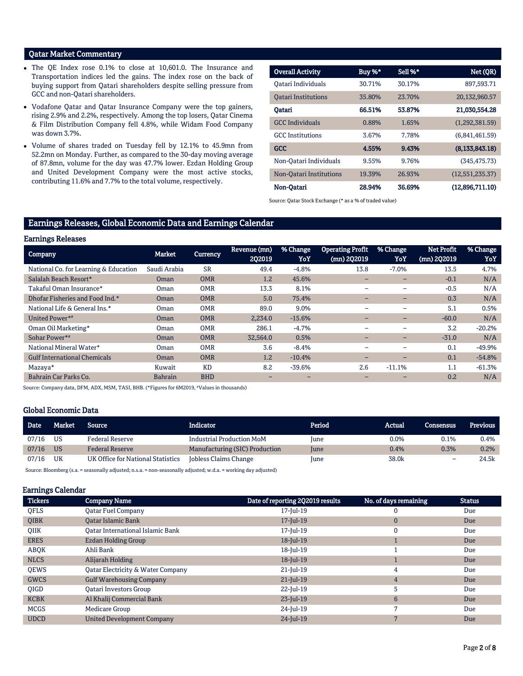## Qatar Market Commentary

- The QE Index rose 0.1% to close at 10,601.0. The Insurance and Transportation indices led the gains. The index rose on the back of buying support from Qatari shareholders despite selling pressure from GCC and non-Qatari shareholders.
- Vodafone Qatar and Qatar Insurance Company were the top gainers, rising 2.9% and 2.2%, respectively. Among the top losers, Qatar Cinema & Film Distribution Company fell 4.8%, while Widam Food Company was down 3.7%.
- Volume of shares traded on Tuesday fell by 12.1% to 45.9mn from 52.2mn on Monday. Further, as compared to the 30-day moving average of 87.8mn, volume for the day was 47.7% lower. Ezdan Holding Group and United Development Company were the most active stocks, contributing 11.6% and 7.7% to the total volume, respectively.

| <b>Overall Activity</b>    | Buy %* | Sell %* | Net (QR)          |
|----------------------------|--------|---------|-------------------|
| Oatari Individuals         | 30.71% | 30.17%  | 897,593.71        |
| <b>Oatari Institutions</b> | 35.80% | 23.70%  | 20,132,960.57     |
| Oatari                     | 66.51% | 53.87%  | 21,030,554.28     |
| <b>GCC</b> Individuals     | 0.88%  | 1.65%   | (1,292,381.59)    |
| <b>GCC</b> Institutions    | 3.67%  | 7.78%   | (6,841,461.59)    |
| <b>GCC</b>                 | 4.55%  | 9.43%   | (8, 133, 843, 18) |
| Non-Oatari Individuals     | 9.55%  | 9.76%   | (345.475.73)      |
| Non-Oatari Institutions    | 19.39% | 26.93%  | (12,551,235.37)   |
| Non-Oatari                 | 28.94% | 36.69%  | (12,896,711.10)   |

Source: Qatar Stock Exchange (\* as a % of traded value)

## Earnings Releases, Global Economic Data and Earnings Calendar

| <b>Earnings Releases</b> |  |
|--------------------------|--|
|--------------------------|--|

| <b>HALLMAN TICTCANCH</b>              |                |                 |                        |                          |                                        |                          |                           |                 |
|---------------------------------------|----------------|-----------------|------------------------|--------------------------|----------------------------------------|--------------------------|---------------------------|-----------------|
| <b>Company</b>                        | <b>Market</b>  | <b>Currency</b> | Revenue (mn)<br>202019 | % Change<br>YoY          | <b>Operating Profit</b><br>(mn) 202019 | % Change<br>YoY          | Net Profit<br>(mn) 202019 | % Change<br>YoY |
| National Co. for Learning & Education | Saudi Arabia   | <b>SR</b>       | 49.4                   | $-4.8%$                  | 13.8                                   | $-7.0%$                  | 13.5                      | 4.7%            |
| Salalah Beach Resort*                 | Oman           | <b>OMR</b>      | 1.2                    | 45.6%                    |                                        |                          | $-0.1$                    | N/A             |
| Takaful Oman Insurance*               | Oman           | <b>OMR</b>      | 13.3                   | 8.1%                     |                                        |                          | $-0.5$                    | N/A             |
| Dhofar Fisheries and Food Ind.*       | Oman           | <b>OMR</b>      | 5.0                    | 75.4%                    |                                        |                          | 0.3                       | N/A             |
| National Life & General Ins.*         | Oman           | <b>OMR</b>      | 89.0                   | 9.0%                     |                                        | $\overline{\phantom{0}}$ | 5.1                       | 0.5%            |
| United Power*#                        | Oman           | <b>OMR</b>      | 2,234.0                | $-15.6%$                 | $-$                                    | $\overline{\phantom{0}}$ | $-60.0$                   | N/A             |
| Oman Oil Marketing*                   | Oman           | <b>OMR</b>      | 286.1                  | $-4.7%$                  |                                        |                          | 3.2                       | $-20.2%$        |
| Sohar Power**                         | Oman           | <b>OMR</b>      | 32,564.0               | 0.5%                     | $\overline{\phantom{0}}$               | -                        | $-31.0$                   | N/A             |
| National Mineral Water*               | Oman           | <b>OMR</b>      | 3.6                    | $-8.4%$                  |                                        |                          | 0.1                       | $-49.9%$        |
| <b>Gulf International Chemicals</b>   | Oman           | <b>OMR</b>      | 1.2                    | $-10.4%$                 | $\overline{\phantom{0}}$               | -                        | 0.1                       | $-54.8%$        |
| Mazaya*                               | Kuwait         | <b>KD</b>       | 8.2                    | $-39.6%$                 | 2.6                                    | $-11.1%$                 | 1.1                       | $-61.3%$        |
| Bahrain Car Parks Co.                 | <b>Bahrain</b> | <b>BHD</b>      | -                      | $\overline{\phantom{0}}$ |                                        |                          | 0.2                       | N/A             |
|                                       |                |                 |                        |                          |                                        |                          |                           |                 |

Source: Company data, DFM, ADX, MSM, TASI, BHB. (\*Figures for 6M2019, #Values in thousands)

## Global Economic Data

| <b>Date</b> | Market    | Source                            | <b>Indicator</b>                 | Period | Actual  | <b>Consensus</b> | <b>Previous</b> |
|-------------|-----------|-----------------------------------|----------------------------------|--------|---------|------------------|-----------------|
| 07/16       | US        | <b>Federal Reserve</b>            | <b>Industrial Production MoM</b> | Iune   | $0.0\%$ | 0.1%             | 0.4%            |
| 07/16       | <b>US</b> | <b>Federal Reserve</b>            | Manufacturing (SIC) Production   | June   | 0.4%    | 0.3%             | 0.2%            |
| 07/16       | UK        | UK Office for National Statistics | Jobless Claims Change            | June   | 38.0k   | -                | 24.5k           |

Source: Bloomberg (s.a. = seasonally adjusted; n.s.a. = non-seasonally adjusted; w.d.a. = working day adjusted)

## Earnings Calendar

| <b>Tickers</b> | <b>Company Name</b>                          | Date of reporting 2Q2019 results | No. of days remaining | <b>Status</b> |
|----------------|----------------------------------------------|----------------------------------|-----------------------|---------------|
| <b>OFLS</b>    | <b>Oatar Fuel Company</b>                    | 17-Jul-19                        | 0                     | Due           |
| <b>OIBK</b>    | <b>Oatar Islamic Bank</b>                    | 17-Jul-19                        | $\mathbf{0}$          | Due           |
| <b>OIIK</b>    | <b>Oatar International Islamic Bank</b>      | 17-Jul-19                        | 0                     | Due           |
| <b>ERES</b>    | <b>Ezdan Holding Group</b>                   | $18$ -Jul-19                     |                       | Due           |
| ABQK           | Ahli Bank                                    | 18-Jul-19                        |                       | Due           |
| <b>NLCS</b>    | Alijarah Holding                             | 18-Jul-19                        |                       | Due           |
| <b>OEWS</b>    | <b>Qatar Electricity &amp; Water Company</b> | $21$ -Jul-19                     | 4                     | Due           |
| <b>GWCS</b>    | <b>Gulf Warehousing Company</b>              | $21$ -Jul-19                     | $\overline{4}$        | Due           |
| <b>OIGD</b>    | <b>Oatari Investors Group</b>                | 22-Jul-19                        | 5                     | Due           |
| <b>KCBK</b>    | Al Khalij Commercial Bank                    | $23$ -Jul-19                     | 6                     | Due           |
| <b>MCGS</b>    | <b>Medicare Group</b>                        | 24-Jul-19                        | 7                     | Due           |
| <b>UDCD</b>    | <b>United Development Company</b>            | 24-Jul-19                        |                       | Due           |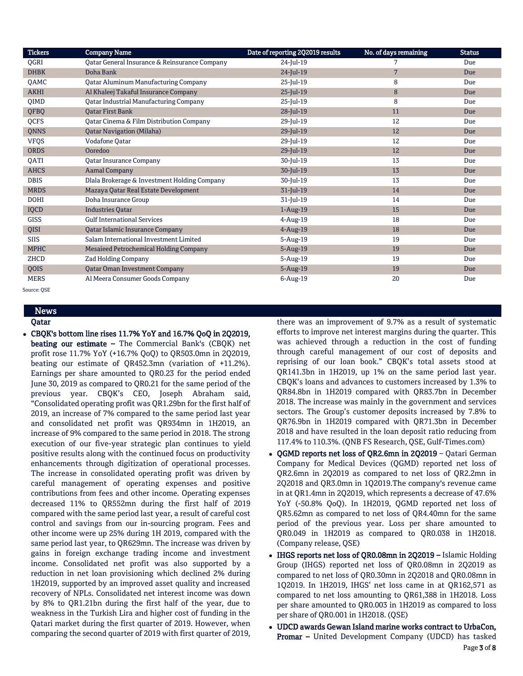| <b>Tickers</b> | <b>Company Name</b>                           | Date of reporting 2Q2019 results | No. of days remaining | <b>Status</b> |
|----------------|-----------------------------------------------|----------------------------------|-----------------------|---------------|
| QGRI           | Qatar General Insurance & Reinsurance Company | 24-Jul-19                        | 7                     | Due           |
| <b>DHBK</b>    | Doha Bank                                     | 24-Jul-19                        | $\overline{7}$        | Due           |
| QAMC           | <b>Qatar Aluminum Manufacturing Company</b>   | 25-Jul-19                        | 8                     | Due           |
| <b>AKHI</b>    | Al Khaleej Takaful Insurance Company          | $25$ -Jul-19                     | $\, 8$                | Due           |
| <b>OIMD</b>    | <b>Qatar Industrial Manufacturing Company</b> | 25-Jul-19                        | 8                     | Due           |
| QFBQ           | <b>Qatar First Bank</b>                       | $28$ -Jul-19                     | 11                    | Due           |
| QCFS           | Qatar Cinema & Film Distribution Company      | 29-Jul-19                        | 12                    | Due           |
| <b>QNNS</b>    | <b>Qatar Navigation (Milaha)</b>              | $29$ -Jul-19                     | 12                    | Due           |
| <b>VFQS</b>    | Vodafone Qatar                                | 29-Jul-19                        | 12                    | Due           |
| <b>ORDS</b>    | Ooredoo                                       | $29$ -Jul-19                     | 12                    | Due           |
| QATI           | <b>Qatar Insurance Company</b>                | 30-Jul-19                        | 13                    | Due           |
| <b>AHCS</b>    | <b>Aamal Company</b>                          | 30-Jul-19                        | 13                    | Due           |
| <b>DBIS</b>    | Dlala Brokerage & Investment Holding Company  | 30-Jul-19                        | 13                    | Due           |
| <b>MRDS</b>    | Mazaya Qatar Real Estate Development          | $31$ -Jul-19                     | 14                    | Due           |
| <b>DOHI</b>    | Doha Insurance Group                          | $31$ -Jul-19                     | 14                    | Due           |
| <b>IQCD</b>    | <b>Industries Qatar</b>                       | $1-Aug-19$                       | 15                    | Due           |
| <b>GISS</b>    | <b>Gulf International Services</b>            | $4$ -Aug-19                      | 18                    | Due           |
| QISI           | Qatar Islamic Insurance Company               | $4$ -Aug-19                      | 18                    | Due           |
| <b>SIIS</b>    | Salam International Investment Limited        | $5 - Aug-19$                     | 19                    | Due           |
| <b>MPHC</b>    | Mesaieed Petrochemical Holding Company        | $5-Aug-19$                       | 19                    | Due           |
| ZHCD           | <b>Zad Holding Company</b>                    | $5 - Aug-19$                     | 19                    | Due           |
| QOIS           | <b>Qatar Oman Investment Company</b>          | $5-Aug-19$                       | 19                    | Due           |
| <b>MERS</b>    | Al Meera Consumer Goods Company               | $6$ -Aug-19                      | 20                    | Due           |

Source: QSE

## News Qatar

 CBQK's bottom line rises 11.7% YoY and 16.7% QoQ in 2Q2019, beating our estimate – The Commercial Bank's (CBQK) net profit rose 11.7% YoY (+16.7% QoQ) to QR503.0mn in 2Q2019, beating our estimate of QR452.3mn (variation of +11.2%). Earnings per share amounted to QR0.23 for the period ended June 30, 2019 as compared to QR0.21 for the same period of the previous year. CBQK's CEO, Joseph Abraham said, "Consolidated operating profit was QR1.29bn for the first half of 2019, an increase of 7% compared to the same period last year and consolidated net profit was QR934mn in 1H2019, an increase of 9% compared to the same period in 2018. The strong execution of our five-year strategic plan continues to yield positive results along with the continued focus on productivity enhancements through digitization of operational processes. The increase in consolidated operating profit was driven by careful management of operating expenses and positive contributions from fees and other income. Operating expenses decreased 11% to QR552mn during the first half of 2019 compared with the same period last year, a result of careful cost control and savings from our in-sourcing program. Fees and other income were up 25% during 1H 2019, compared with the same period last year, to QR629mn. The increase was driven by gains in foreign exchange trading income and investment income. Consolidated net profit was also supported by a reduction in net loan provisioning which declined 2% during 1H2019, supported by an improved asset quality and increased recovery of NPLs. Consolidated net interest income was down by 8% to QR1.21bn during the first half of the year, due to weakness in the Turkish Lira and higher cost of funding in the Qatari market during the first quarter of 2019. However, when comparing the second quarter of 2019 with first quarter of 2019,

there was an improvement of 9.7% as a result of systematic efforts to improve net interest margins during the quarter. This was achieved through a reduction in the cost of funding through careful management of our cost of deposits and reprising of our loan book." CBQK's total assets stood at QR141.3bn in 1H2019, up 1% on the same period last year. CBQK's loans and advances to customers increased by 1.3% to QR84.8bn in 1H2019 compared with QR83.7bn in December 2018. The increase was mainly in the government and services sectors. The Group's customer deposits increased by 7.8% to QR76.9bn in 1H2019 compared with QR71.3bn in December 2018 and have resulted in the loan deposit ratio reducing from 117.4% to 110.3%. (QNB FS Research, QSE, Gulf-Times.com)

- QGMD reports net loss of QR2.6mn in 2Q2019 Qatari German Company for Medical Devices (QGMD) reported net loss of QR2.6mn in 2Q2019 as compared to net loss of QR2.2mn in 2Q2018 and QR3.0mn in 1Q2019.The company's revenue came in at QR1.4mn in 2Q2019, which represents a decrease of 47.6% YoY (-50.8% QoQ). In 1H2019, QGMD reported net loss of QR5.62mn as compared to net loss of QR4.40mn for the same period of the previous year. Loss per share amounted to QR0.049 in 1H2019 as compared to QR0.038 in 1H2018. (Company release, QSE)
- IHGS reports net loss of QR0.08mn in 2Q2019 Islamic Holding Group (IHGS) reported net loss of QR0.08mn in 2Q2019 as compared to net loss of QR0.30mn in 2Q2018 and QR0.08mn in 1Q2019. In 1H2019, IHGS' net loss came in at QR162,571 as compared to net loss amounting to QR61,388 in 1H2018. Loss per share amounted to QR0.003 in 1H2019 as compared to loss per share of QR0.001 in 1H2018. (QSE)
- Page 3 of 8 UDCD awards Gewan Island marine works contract to UrbaCon, Promar – United Development Company (UDCD) has tasked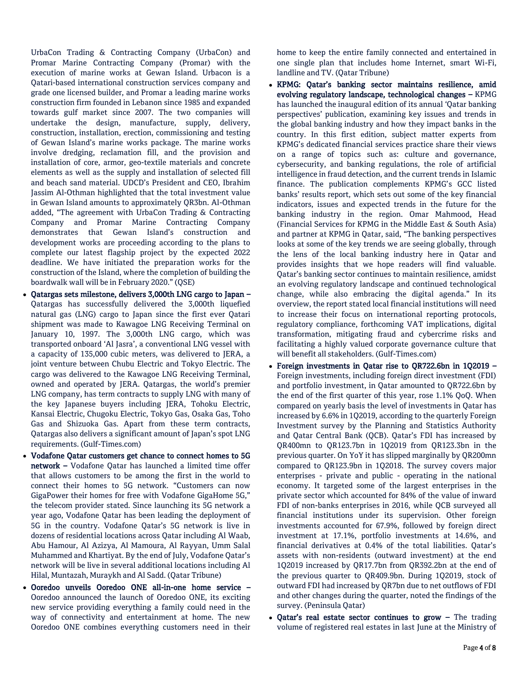UrbaCon Trading & Contracting Company (UrbaCon) and Promar Marine Contracting Company (Promar) with the execution of marine works at Gewan Island. Urbacon is a Qatari-based international construction services company and grade one licensed builder, and Promar a leading marine works construction firm founded in Lebanon since 1985 and expanded towards gulf market since 2007. The two companies will undertake the design, manufacture, supply, delivery, construction, installation, erection, commissioning and testing of Gewan Island's marine works package. The marine works involve dredging, reclamation fill, and the provision and installation of core, armor, geo-textile materials and concrete elements as well as the supply and installation of selected fill and beach sand material. UDCD's President and CEO, Ibrahim Jassim Al-Othman highlighted that the total investment value in Gewan Island amounts to approximately QR3bn. Al-Othman added, "The agreement with UrbaCon Trading & Contracting Company and Promar Marine Contracting Company demonstrates that Gewan Island's construction and development works are proceeding according to the plans to complete our latest flagship project by the expected 2022 deadline. We have initiated the preparation works for the construction of the Island, where the completion of building the boardwalk wall will be in February 2020." (QSE)

- Qatargas sets milestone, delivers 3,000th LNG cargo to Japan Qatargas has successfully delivered the 3,000th liquefied natural gas (LNG) cargo to Japan since the first ever Qatari shipment was made to Kawagoe LNG Receiving Terminal on January 10, 1997. The 3,000th LNG cargo, which was transported onboard 'Al Jasra', a conventional LNG vessel with a capacity of 135,000 cubic meters, was delivered to JERA, a joint venture between Chubu Electric and Tokyo Electric. The cargo was delivered to the Kawagoe LNG Receiving Terminal, owned and operated by JERA. Qatargas, the world's premier LNG company, has term contracts to supply LNG with many of the key Japanese buyers including JERA, Tohoku Electric, Kansai Electric, Chugoku Electric, Tokyo Gas, Osaka Gas, Toho Gas and Shizuoka Gas. Apart from these term contracts, Qatargas also delivers a significant amount of Japan's spot LNG requirements. (Gulf-Times.com)
- Vodafone Qatar customers get chance to connect homes to 5G network – Vodafone Qatar has launched a limited time offer that allows customers to be among the first in the world to connect their homes to 5G network. "Customers can now GigaPower their homes for free with Vodafone GigaHome 5G," the telecom provider stated. Since launching its 5G network a year ago, Vodafone Qatar has been leading the deployment of 5G in the country. Vodafone Qatar's 5G network is live in dozens of residential locations across Qatar including Al Waab, Abu Hamour, Al Azizya, Al Mamoura, Al Rayyan, Umm Salal Muhammed and Khartiyat. By the end of July, Vodafone Qatar's network will be live in several additional locations including Al Hilal, Muntazah, Muraykh and Al Sadd. (Qatar Tribune)
- Ooredoo unveils Ooredoo ONE all-in-one home service Ooredoo announced the launch of Ooredoo ONE, its exciting new service providing everything a family could need in the way of connectivity and entertainment at home. The new Ooredoo ONE combines everything customers need in their

home to keep the entire family connected and entertained in one single plan that includes home Internet, smart Wi-Fi, landline and TV. (Qatar Tribune)

- KPMG: Qatar's banking sector maintains resilience, amid evolving regulatory landscape, technological changes – KPMG has launched the inaugural edition of its annual 'Qatar banking perspectives' publication, examining key issues and trends in the global banking industry and how they impact banks in the country. In this first edition, subject matter experts from KPMG's dedicated financial services practice share their views on a range of topics such as: culture and governance, cybersecurity, and banking regulations, the role of artificial intelligence in fraud detection, and the current trends in Islamic finance. The publication complements KPMG's GCC listed banks' results report, which sets out some of the key financial indicators, issues and expected trends in the future for the banking industry in the region. Omar Mahmood, Head (Financial Services for KPMG in the Middle East & South Asia) and partner at KPMG in Qatar, said, "The banking perspectives looks at some of the key trends we are seeing globally, through the lens of the local banking industry here in Qatar and provides insights that we hope readers will find valuable. Qatar's banking sector continues to maintain resilience, amidst an evolving regulatory landscape and continued technological change, while also embracing the digital agenda." In its overview, the report stated local financial institutions will need to increase their focus on international reporting protocols, regulatory compliance, forthcoming VAT implications, digital transformation, mitigating fraud and cybercrime risks and facilitating a highly valued corporate governance culture that will benefit all stakeholders. (Gulf-Times.com)
- Foreign investments in Qatar rise to QR722.6bn in 1Q2019 Foreign investments, including foreign direct investment (FDI) and portfolio investment, in Qatar amounted to QR722.6bn by the end of the first quarter of this year, rose 1.1% QoQ. When compared on yearly basis the level of investments in Qatar has increased by 6.6% in 1Q2019, according to the quarterly Foreign Investment survey by the Planning and Statistics Authority and Qatar Central Bank (QCB). Qatar's FDI has increased by QR400mn to QR123.7bn in 1Q2019 from QR123.3bn in the previous quarter. On YoY it has slipped marginally by QR200mn compared to QR123.9bn in 1Q2018. The survey covers major enterprises - private and public - operating in the national economy. It targeted some of the largest enterprises in the private sector which accounted for 84% of the value of inward FDI of non-banks enterprises in 2016, while QCB surveyed all financial institutions under its supervision. Other foreign investments accounted for 67.9%, followed by foreign direct investment at 17.1%, portfolio investments at 14.6%, and financial derivatives at 0.4% of the total liabilities. Qatar's assets with non-residents (outward investment) at the end 1Q2019 increased by QR17.7bn from QR392.2bn at the end of the previous quarter to QR409.9bn. During 1Q2019, stock of outward FDI had increased by QR7bn due to net outflows of FDI and other changes during the quarter, noted the findings of the survey. (Peninsula Qatar)
- Qatar's real estate sector continues to grow The trading volume of registered real estates in last June at the Ministry of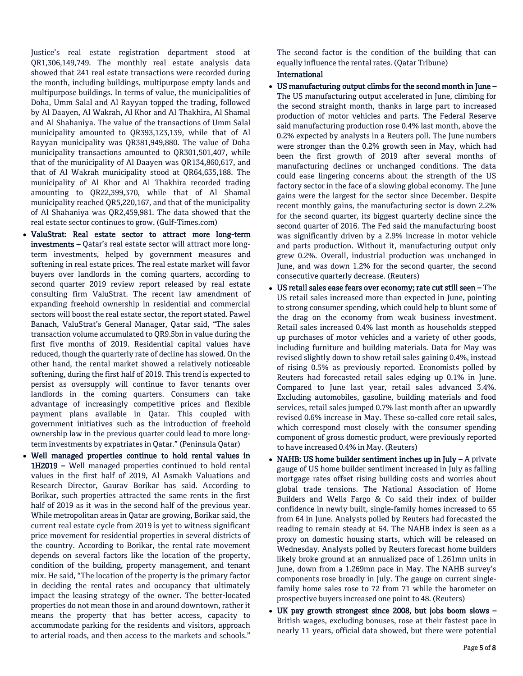Justice's real estate registration department stood at QR1,306,149,749. The monthly real estate analysis data showed that 241 real estate transactions were recorded during the month, including buildings, multipurpose empty lands and multipurpose buildings. In terms of value, the municipalities of Doha, Umm Salal and Al Rayyan topped the trading, followed by Al Daayen, Al Wakrah, Al Khor and Al Thakhira, Al Shamal and Al Shahaniya. The value of the transactions of Umm Salal municipality amounted to QR393,123,139, while that of Al Rayyan municipality was QR381,949,880. The value of Doha municipality transactions amounted to QR301,501,407, while that of the municipality of Al Daayen was QR134,860,617, and that of Al Wakrah municipality stood at QR64,635,188. The municipality of Al Khor and Al Thakhira recorded trading amounting to QR22,399,370, while that of Al Shamal municipality reached QR5,220,167, and that of the municipality of Al Shahaniya was QR2,459,981. The data showed that the real estate sector continues to grow. (Gulf-Times.com)

- ValuStrat: Real estate sector to attract more long-term investments – Qatar's real estate sector will attract more longterm investments, helped by government measures and softening in real estate prices. The real estate market will favor buyers over landlords in the coming quarters, according to second quarter 2019 review report released by real estate consulting firm ValuStrat. The recent law amendment of expanding freehold ownership in residential and commercial sectors will boost the real estate sector, the report stated. Pawel Banach, ValuStrat's General Manager, Qatar said, "The sales transaction volume accumulated to QR9.5bn in value during the first five months of 2019. Residential capital values have reduced, though the quarterly rate of decline has slowed. On the other hand, the rental market showed a relatively noticeable softening, during the first half of 2019. This trend is expected to persist as oversupply will continue to favor tenants over landlords in the coming quarters. Consumers can take advantage of increasingly competitive prices and flexible payment plans available in Qatar. This coupled with government initiatives such as the introduction of freehold ownership law in the previous quarter could lead to more longterm investments by expatriates in Qatar." (Peninsula Qatar)
- Well managed properties continue to hold rental values in 1H2019 – Well managed properties continued to hold rental values in the first half of 2019, Al Asmakh Valuations and Research Director, Gaurav Borikar has said. According to Borikar, such properties attracted the same rents in the first half of 2019 as it was in the second half of the previous year. While metropolitan areas in Qatar are growing, Borikar said, the current real estate cycle from 2019 is yet to witness significant price movement for residential properties in several districts of the country. According to Borikar, the rental rate movement depends on several factors like the location of the property, condition of the building, property management, and tenant mix. He said, "The location of the property is the primary factor in deciding the rental rates and occupancy that ultimately impact the leasing strategy of the owner. The better-located properties do not mean those in and around downtown, rather it means the property that has better access, capacity to accommodate parking for the residents and visitors, approach to arterial roads, and then access to the markets and schools."

The second factor is the condition of the building that can equally influence the rental rates. (Qatar Tribune)

## International

- US manufacturing output climbs for the second month in June The US manufacturing output accelerated in June, climbing for the second straight month, thanks in large part to increased production of motor vehicles and parts. The Federal Reserve said manufacturing production rose 0.4% last month, above the 0.2% expected by analysts in a Reuters poll. The June numbers were stronger than the 0.2% growth seen in May, which had been the first growth of 2019 after several months of manufacturing declines or unchanged conditions. The data could ease lingering concerns about the strength of the US factory sector in the face of a slowing global economy. The June gains were the largest for the sector since December. Despite recent monthly gains, the manufacturing sector is down 2.2% for the second quarter, its biggest quarterly decline since the second quarter of 2016. The Fed said the manufacturing boost was significantly driven by a 2.9% increase in motor vehicle and parts production. Without it, manufacturing output only grew 0.2%. Overall, industrial production was unchanged in June, and was down 1.2% for the second quarter, the second consecutive quarterly decrease. (Reuters)
- US retail sales ease fears over economy; rate cut still seen The US retail sales increased more than expected in June, pointing to strong consumer spending, which could help to blunt some of the drag on the economy from weak business investment. Retail sales increased 0.4% last month as households stepped up purchases of motor vehicles and a variety of other goods, including furniture and building materials. Data for May was revised slightly down to show retail sales gaining 0.4%, instead of rising 0.5% as previously reported. Economists polled by Reuters had forecasted retail sales edging up 0.1% in June. Compared to June last year, retail sales advanced 3.4%. Excluding automobiles, gasoline, building materials and food services, retail sales jumped 0.7% last month after an upwardly revised 0.6% increase in May. These so-called core retail sales, which correspond most closely with the consumer spending component of gross domestic product, were previously reported to have increased 0.4% in May. (Reuters)
- NAHB: US home builder sentiment inches up in July  $-$  A private gauge of US home builder sentiment increased in July as falling mortgage rates offset rising building costs and worries about global trade tensions. The National Association of Home Builders and Wells Fargo & Co said their index of builder confidence in newly built, single-family homes increased to 65 from 64 in June. Analysts polled by Reuters had forecasted the reading to remain steady at 64. The NAHB index is seen as a proxy on domestic housing starts, which will be released on Wednesday. Analysts polled by Reuters forecast home builders likely broke ground at an annualized pace of 1.261mn units in June, down from a 1.269mn pace in May. The NAHB survey's components rose broadly in July. The gauge on current singlefamily home sales rose to 72 from 71 while the barometer on prospective buyers increased one point to 48. (Reuters)
- UK pay growth strongest since 2008, but jobs boom slows British wages, excluding bonuses, rose at their fastest pace in nearly 11 years, official data showed, but there were potential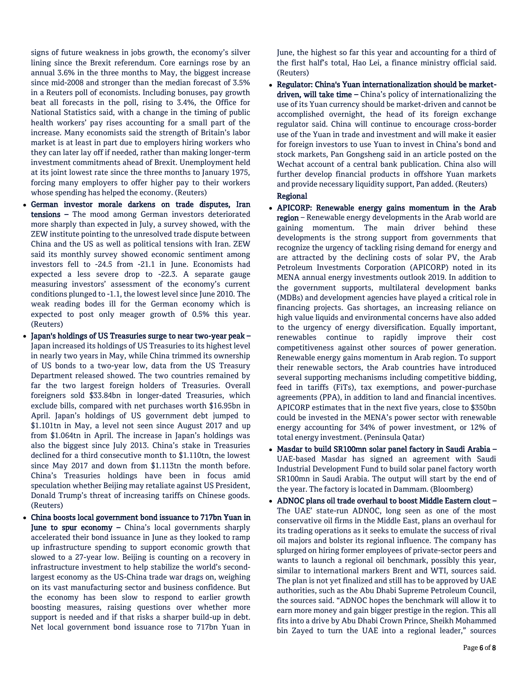signs of future weakness in jobs growth, the economy's silver lining since the Brexit referendum. Core earnings rose by an annual 3.6% in the three months to May, the biggest increase since mid-2008 and stronger than the median forecast of 3.5% in a Reuters poll of economists. Including bonuses, pay growth beat all forecasts in the poll, rising to 3.4%, the Office for National Statistics said, with a change in the timing of public health workers' pay rises accounting for a small part of the increase. Many economists said the strength of Britain's labor market is at least in part due to employers hiring workers who they can later lay off if needed, rather than making longer-term investment commitments ahead of Brexit. Unemployment held at its joint lowest rate since the three months to January 1975, forcing many employers to offer higher pay to their workers whose spending has helped the economy. (Reuters)

- German investor morale darkens on trade disputes, Iran tensions – The mood among German investors deteriorated more sharply than expected in July, a survey showed, with the ZEW institute pointing to the unresolved trade dispute between China and the US as well as political tensions with Iran. ZEW said its monthly survey showed economic sentiment among investors fell to -24.5 from -21.1 in June. Economists had expected a less severe drop to -22.3. A separate gauge measuring investors' assessment of the economy's current conditions plunged to -1.1, the lowest level since June 2010. The weak reading bodes ill for the German economy which is expected to post only meager growth of 0.5% this year. (Reuters)
- Japan's holdings of US Treasuries surge to near two-year peak Japan increased its holdings of US Treasuries to its highest level in nearly two years in May, while China trimmed its ownership of US bonds to a two-year low, data from the US Treasury Department released showed. The two countries remained by far the two largest foreign holders of Treasuries. Overall foreigners sold \$33.84bn in longer-dated Treasuries, which exclude bills, compared with net purchases worth \$16.95bn in April. Japan's holdings of US government debt jumped to \$1.101tn in May, a level not seen since August 2017 and up from \$1.064tn in April. The increase in Japan's holdings was also the biggest since July 2013. China's stake in Treasuries declined for a third consecutive month to \$1.110tn, the lowest since May 2017 and down from \$1.113tn the month before. China's Treasuries holdings have been in focus amid speculation whether Beijing may retaliate against US President, Donald Trump's threat of increasing tariffs on Chinese goods. (Reuters)
- China boosts local government bond issuance to 717bn Yuan in June to spur economy – China's local governments sharply accelerated their bond issuance in June as they looked to ramp up infrastructure spending to support economic growth that slowed to a 27-year low. Beijing is counting on a recovery in infrastructure investment to help stabilize the world's secondlargest economy as the US-China trade war drags on, weighing on its vast manufacturing sector and business confidence. But the economy has been slow to respond to earlier growth boosting measures, raising questions over whether more support is needed and if that risks a sharper build-up in debt. Net local government bond issuance rose to 717bn Yuan in

June, the highest so far this year and accounting for a third of the first half's total, Hao Lei, a finance ministry official said. (Reuters)

 Regulator: China's Yuan internationalization should be marketdriven, will take time - China's policy of internationalizing the use of its Yuan currency should be market-driven and cannot be accomplished overnight, the head of its foreign exchange regulator said. China will continue to encourage cross-border use of the Yuan in trade and investment and will make it easier for foreign investors to use Yuan to invest in China's bond and stock markets, Pan Gongsheng said in an article posted on the Wechat account of a central bank publication. China also will further develop financial products in offshore Yuan markets and provide necessary liquidity support, Pan added. (Reuters)

## Regional

- APICORP: Renewable energy gains momentum in the Arab region – Renewable energy developments in the Arab world are gaining momentum. The main driver behind these developments is the strong support from governments that recognize the urgency of tackling rising demand for energy and are attracted by the declining costs of solar PV, the Arab Petroleum Investments Corporation (APICORP) noted in its MENA annual energy investments outlook 2019. In addition to the government supports, multilateral development banks (MDBs) and development agencies have played a critical role in financing projects. Gas shortages, an increasing reliance on high value liquids and environmental concerns have also added to the urgency of energy diversification. Equally important, renewables continue to rapidly improve their cost competitiveness against other sources of power generation. Renewable energy gains momentum in Arab region. To support their renewable sectors, the Arab countries have introduced several supporting mechanisms including competitive bidding, feed in tariffs (FiTs), tax exemptions, and power-purchase agreements (PPA), in addition to land and financial incentives. APICORP estimates that in the next five years, close to \$350bn could be invested in the MENA's power sector with renewable energy accounting for 34% of power investment, or 12% of total energy investment. (Peninsula Qatar)
- Masdar to build SR100mn solar panel factory in Saudi Arabia UAE-based Masdar has signed an agreement with Saudi Industrial Development Fund to build solar panel factory worth SR100mn in Saudi Arabia. The output will start by the end of the year. The factory is located in Dammam. (Bloomberg)
- ADNOC plans oil trade overhaul to boost Middle Eastern clout The UAE' state-run ADNOC, long seen as one of the most conservative oil firms in the Middle East, plans an overhaul for its trading operations as it seeks to emulate the success of rival oil majors and bolster its regional influence. The company has splurged on hiring former employees of private-sector peers and wants to launch a regional oil benchmark, possibly this year, similar to international markers Brent and WTI, sources said. The plan is not yet finalized and still has to be approved by UAE authorities, such as the Abu Dhabi Supreme Petroleum Council, the sources said. "ADNOC hopes the benchmark will allow it to earn more money and gain bigger prestige in the region. This all fits into a drive by Abu Dhabi Crown Prince, Sheikh Mohammed bin Zayed to turn the UAE into a regional leader," sources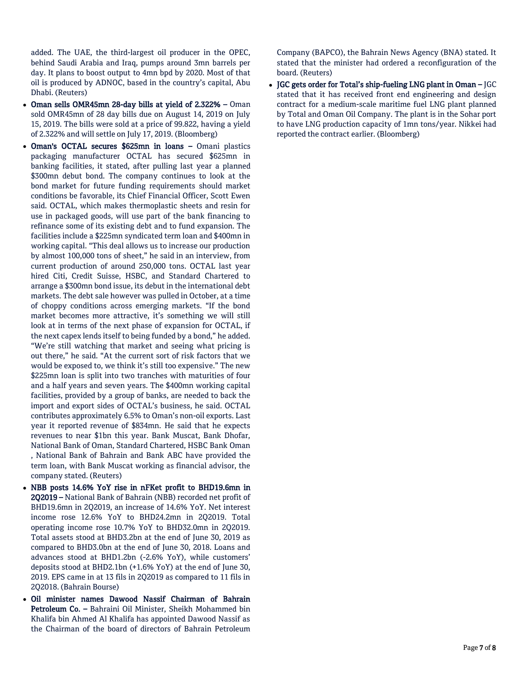added. The UAE, the third-largest oil producer in the OPEC, behind Saudi Arabia and Iraq, pumps around 3mn barrels per day. It plans to boost output to 4mn bpd by 2020. Most of that oil is produced by ADNOC, based in the country's capital, Abu Dhabi. (Reuters)

- Oman sells OMR45mn 28-day bills at yield of 2.322% Oman sold OMR45mn of 28 day bills due on August 14, 2019 on July 15, 2019. The bills were sold at a price of 99.822, having a yield of 2.322% and will settle on July 17, 2019. (Bloomberg)
- Oman's OCTAL secures \$625mn in loans Omani plastics packaging manufacturer OCTAL has secured \$625mn in banking facilities, it stated, after pulling last year a planned \$300mn debut bond. The company continues to look at the bond market for future funding requirements should market conditions be favorable, its Chief Financial Officer, Scott Ewen said. OCTAL, which makes thermoplastic sheets and resin for use in packaged goods, will use part of the bank financing to refinance some of its existing debt and to fund expansion. The facilities include a \$225mn syndicated term loan and \$400mn in working capital. "This deal allows us to increase our production by almost 100,000 tons of sheet," he said in an interview, from current production of around 250,000 tons. OCTAL last year hired Citi, Credit Suisse, HSBC, and Standard Chartered to arrange a \$300mn bond issue, its debut in the international debt markets. The debt sale however was pulled in October, at a time of choppy conditions across emerging markets. "If the bond market becomes more attractive, it's something we will still look at in terms of the next phase of expansion for OCTAL, if the next capex lends itself to being funded by a bond," he added. "We're still watching that market and seeing what pricing is out there," he said. "At the current sort of risk factors that we would be exposed to, we think it's still too expensive." The new \$225mn loan is split into two tranches with maturities of four and a half years and seven years. The \$400mn working capital facilities, provided by a group of banks, are needed to back the import and export sides of OCTAL's business, he said. OCTAL contributes approximately 6.5% to Oman's non-oil exports. Last year it reported revenue of \$834mn. He said that he expects revenues to near \$1bn this year. Bank Muscat, Bank Dhofar, National Bank of Oman, Standard Chartered, HSBC Bank Oman , National Bank of Bahrain and Bank ABC have provided the term loan, with Bank Muscat working as financial advisor, the company stated. (Reuters)
- NBB posts 14.6% YoY rise in nFKet profit to BHD19.6mn in 2Q2019 – National Bank of Bahrain (NBB) recorded net profit of BHD19.6mn in 2Q2019, an increase of 14.6% YoY. Net interest income rose 12.6% YoY to BHD24.2mn in 2Q2019. Total operating income rose 10.7% YoY to BHD32.0mn in 2Q2019. Total assets stood at BHD3.2bn at the end of June 30, 2019 as compared to BHD3.0bn at the end of June 30, 2018. Loans and advances stood at BHD1.2bn (-2.6% YoY), while customers' deposits stood at BHD2.1bn (+1.6% YoY) at the end of June 30, 2019. EPS came in at 13 fils in 2Q2019 as compared to 11 fils in 2Q2018. (Bahrain Bourse)
- Oil minister names Dawood Nassif Chairman of Bahrain Petroleum Co. – Bahraini Oil Minister, Sheikh Mohammed bin Khalifa bin Ahmed Al Khalifa has appointed Dawood Nassif as the Chairman of the board of directors of Bahrain Petroleum

Company (BAPCO), the Bahrain News Agency (BNA) stated. It stated that the minister had ordered a reconfiguration of the board. (Reuters)

 JGC gets order for Total's ship-fueling LNG plant in Oman – JGC stated that it has received front end engineering and design contract for a medium-scale maritime fuel LNG plant planned by Total and Oman Oil Company. The plant is in the Sohar port to have LNG production capacity of 1mn tons/year. Nikkei had reported the contract earlier. (Bloomberg)